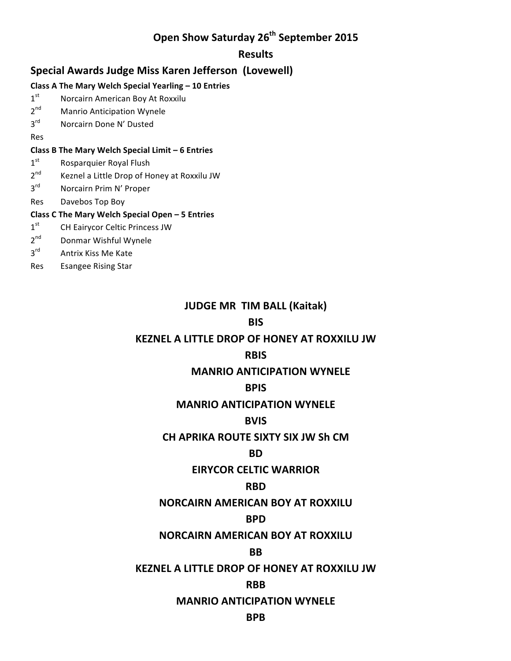# **Open Show Saturday 26th September 2015**

### **Results**

# **Special Awards Judge Miss Karen Jefferson (Lovewell)**

#### **Class A The Mary Welch Special Yearling – 10 Entries**

- 1<sup>st</sup> Norcairn American Boy At Roxxilu
- 2<sup>nd</sup> Manrio Anticipation Wynele
- 3<sup>rd</sup> Norcairn Done N' Dusted

Res

#### **Class B The Mary Welch Special Limit – 6 Entries**

- $1<sup>st</sup>$  Rosparquier Royal Flush
- $2<sup>nd</sup>$  Keznel a Little Drop of Honey at Roxxilu JW
- 3<sup>rd</sup> Norcairn Prim N' Proper
- Res Davebos Top Boy

#### **Class C The Mary Welch Special Open – 5 Entries**

- 1<sup>st</sup> CH Eairycor Celtic Princess JW
- 2<sup>nd</sup> Donmar Wishful Wynele
- 3<sup>rd</sup> Antrix Kiss Me Kate
- Res Esangee Rising Star

# **JUDGE MR TIM BALL (Kaitak)**

## **BIS**

# **KEZNEL A LITTLE DROP OF HONEY AT ROXXILU JW**

# **RBIS**

# **MANRIO ANTICIPATION WYNELE**

### **BPIS**

# **MANRIO ANTICIPATION WYNELE**

# **BVIS**

### **CH APRIKA ROUTE SIXTY SIX JW Sh CM**

### **BD**

# **EIRYCOR CELTIC WARRIOR**

# **RBD**

# **NORCAIRN AMERICAN BOY AT ROXXILU**

# **BPD**

# **NORCAIRN AMERICAN BOY AT ROXXILU**

# **BB**

### **KEZNEL A LITTLE DROP OF HONEY AT ROXXILU JW**

# **RBB**

### **MANRIO ANTICIPATION WYNELE**

### **BPB**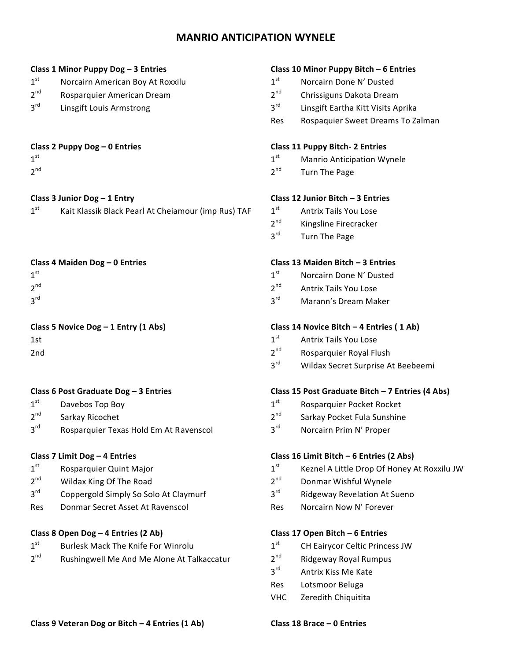# **MANRIO ANTICIPATION WYNELE**

- $1<sup>st</sup>$  Norcairn American Boy At Roxxilu  $1<sup>st</sup>$  Norcairn Done N' Dusted
- $2^{nd}$  Rosparquier American Dream  $2^{nd}$  Chrissiguns Dakota Dream
- 

- 
- 

| 1 <sup>st</sup> | Kait Klassik Black Pearl At Cheiamour (imp Rus) TAF |  |
|-----------------|-----------------------------------------------------|--|
|                 |                                                     |  |

| 1 <sup>st</sup> |  |  |  |
|-----------------|--|--|--|
| $2^{nd}$        |  |  |  |
| 3 <sup>rd</sup> |  |  |  |

- 
- 
- 3<sup>rd</sup> Rosparquier Texas Hold Em At Ravenscol 3rd Norcairn Prim N' Proper

- 
- $2^{nd}$  Wildax King Of The Road  $2^{nd}$  Donmar Wishful Wynele
- $3<sup>rd</sup>$  Coppergold Simply So Solo At Claymurf  $3<sup>rd</sup>$  Ridgeway Revelation At Sueno
- Res Donmar Secret Asset At Ravenscol and Res Norcairn Now N' Forever

### **Class 8 Open Dog – 4 Entries (2 Ab) Class 17 Open Bitch – 6 Entries**

- $1<sup>st</sup>$  Burlesk Mack The Knife For Winrolu  $1<sup>st</sup>$  CH Eairycor Celtic Princess JW
- $2^{nd}$  Rushingwell Me And Me Alone At Talkaccatur  $2^{nd}$  Ridgeway Royal Rumpus

#### **Class 1 Minor Puppy Dog – 3 Entries Class 10 Minor Puppy Bitch – 6 Entries**

- 
- 
- $3<sup>rd</sup>$  Linsgift Louis Armstrong  $3<sup>rd</sup>$  Linsgift Eartha Kitt Visits Aprika
	- Res Rospaquier Sweet Dreams To Zalman

#### **Class 2 Puppy Dog – 0 Entries Class 11 Puppy Bitch-** 2 Entries

- $1^{\text{st}}$  Manrio Anticipation Wynele
- $2^{nd}$  and  $2^{nd}$  are  $2^{nd}$  and  $2^{nd}$  are  $2^{nd}$  are  $2^{nd}$  are  $2^{nd}$  are  $2^{nd}$  and  $2^{nd}$  are  $2^{nd}$  and  $2^{nd}$  are  $2^{nd}$  and  $2^{nd}$  are  $2^{nd}$  and  $2^{nd}$  are  $2^{nd}$  and  $2^{nd}$  are  $2^{nd}$  and  $2^{nd}$  are  $2^{nd}$  and

#### **Class 3 Junior Dog – 1 Entry Class 12 Junior Bitch – 3 Entries**

- $1<sup>st</sup>$  Antrix Tails You Lose
- 2<sup>nd</sup> Kingsline Firecracker
- 3<sup>rd</sup> Turn The Page

#### **Class 4 Maiden Dog – 0 Entries Class 13 Maiden Bitch – 3 Entries**

- $1<sup>st</sup>$  Norcairn Done N' Dusted
- 2<sup>nd</sup> Antrix Tails You Lose
- 3<sup>rd</sup> Marann's Dream Maker

### **Class 5** Novice Dog – 1 Entry (1 Abs) **Class 14** Novice Bitch – 4 Entries ( 1 Ab)

- 1st **1st** Antrix Tails You Lose
- $2<sup>nd</sup>$  Rosparquier Royal Flush
	- 3<sup>rd</sup> Wildax Secret Surprise At Beebeemi

### **Class 6 Post Graduate Dog – 3 Entries Class 15 Post Graduate Bitch – 7 Entries (4 Abs)**

- $1<sup>st</sup>$  Davebos Top Boy  $1<sup>st</sup>$  Rosparquier Pocket Rocket
- $2^{nd}$  Sarkay Ricochet 2<sup>nd</sup> Sarkay Pocket Fula Sunshine
	-

#### **Class 7 Limit Dog – 4 Entries Class 16 Limit Bitch – 6 Entries (2 Abs)**

- $1<sup>st</sup>$  Rosparquier Quint Major 1st Active 1st Active Meznel A Little Drop Of Honey At Roxxilu JW
	-
	-
	-

- 
- 
- 3<sup>rd</sup> Antrix Kiss Me Kate
- Res Lotsmoor Beluga
- VHC Zeredith Chiquitita